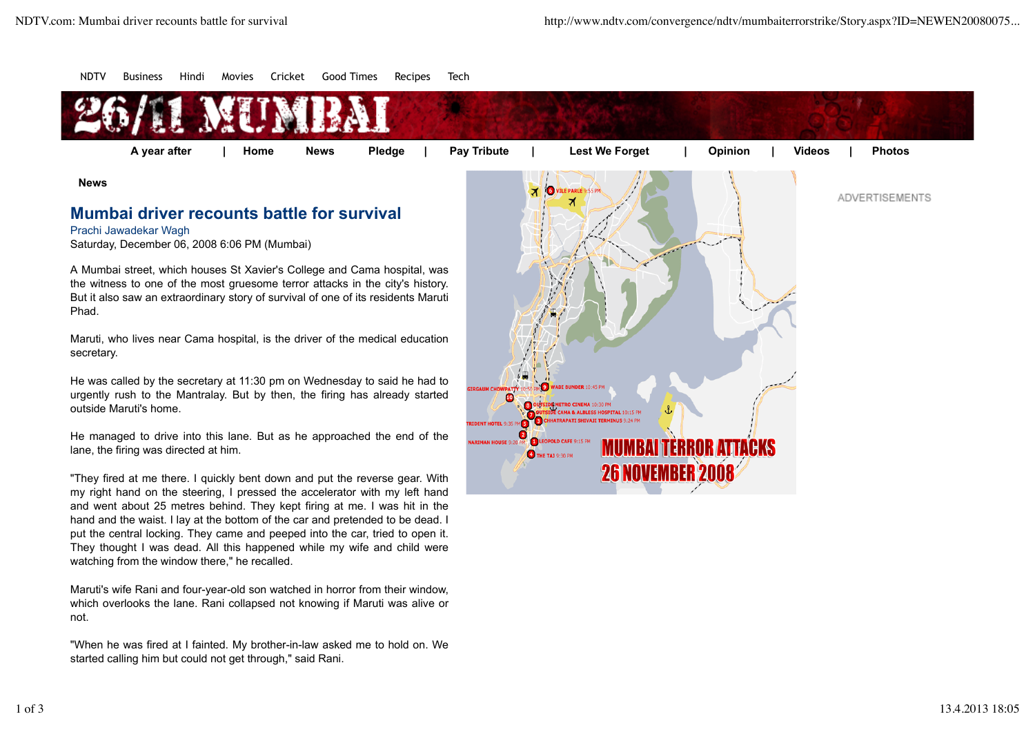

which overlooks the lane. Rani collapsed not knowing if Maruti was alive or not.

Maruti's wife Rani and four-year-old son watched in horror from their window,

They thought I was dead. All this happened while my wife and child were

watching from the window there," he recalled.

"When he was fired at I fainted. My brother-in-law asked me to hold on. We started calling him but could not get through," said Rani.